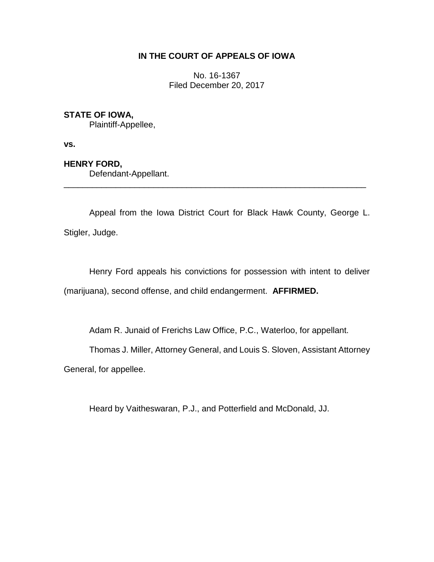# **IN THE COURT OF APPEALS OF IOWA**

No. 16-1367 Filed December 20, 2017

# **STATE OF IOWA,**

Plaintiff-Appellee,

**vs.**

**HENRY FORD,**

Defendant-Appellant.

Appeal from the Iowa District Court for Black Hawk County, George L. Stigler, Judge.

\_\_\_\_\_\_\_\_\_\_\_\_\_\_\_\_\_\_\_\_\_\_\_\_\_\_\_\_\_\_\_\_\_\_\_\_\_\_\_\_\_\_\_\_\_\_\_\_\_\_\_\_\_\_\_\_\_\_\_\_\_\_\_\_

Henry Ford appeals his convictions for possession with intent to deliver (marijuana), second offense, and child endangerment. **AFFIRMED.**

Adam R. Junaid of Frerichs Law Office, P.C., Waterloo, for appellant.

Thomas J. Miller, Attorney General, and Louis S. Sloven, Assistant Attorney

General, for appellee.

Heard by Vaitheswaran, P.J., and Potterfield and McDonald, JJ.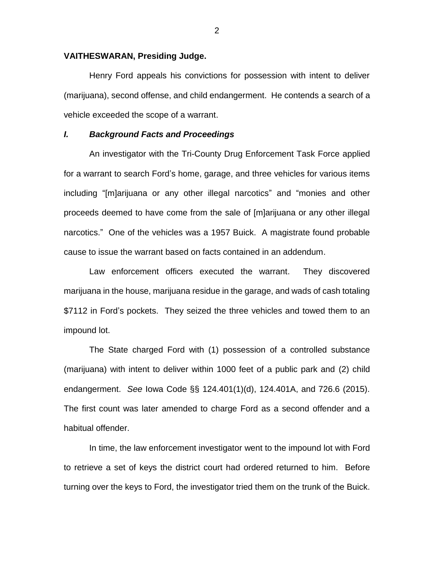#### **VAITHESWARAN, Presiding Judge.**

Henry Ford appeals his convictions for possession with intent to deliver (marijuana), second offense, and child endangerment. He contends a search of a vehicle exceeded the scope of a warrant.

## *I. Background Facts and Proceedings*

An investigator with the Tri-County Drug Enforcement Task Force applied for a warrant to search Ford's home, garage, and three vehicles for various items including "[m]arijuana or any other illegal narcotics" and "monies and other proceeds deemed to have come from the sale of [m]arijuana or any other illegal narcotics." One of the vehicles was a 1957 Buick. A magistrate found probable cause to issue the warrant based on facts contained in an addendum.

Law enforcement officers executed the warrant. They discovered marijuana in the house, marijuana residue in the garage, and wads of cash totaling \$7112 in Ford's pockets. They seized the three vehicles and towed them to an impound lot.

The State charged Ford with (1) possession of a controlled substance (marijuana) with intent to deliver within 1000 feet of a public park and (2) child endangerment. *See* Iowa Code §§ 124.401(1)(d), 124.401A, and 726.6 (2015). The first count was later amended to charge Ford as a second offender and a habitual offender.

In time, the law enforcement investigator went to the impound lot with Ford to retrieve a set of keys the district court had ordered returned to him. Before turning over the keys to Ford, the investigator tried them on the trunk of the Buick.

2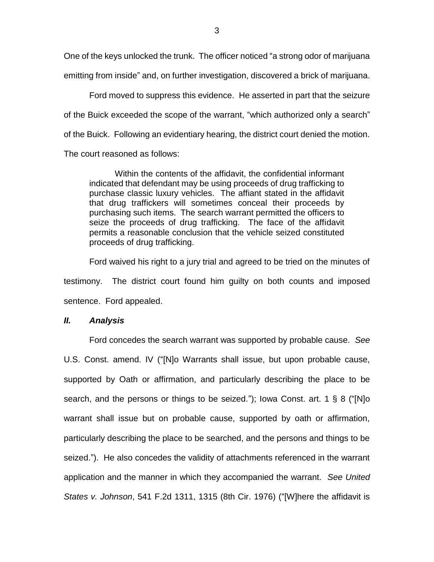One of the keys unlocked the trunk. The officer noticed "a strong odor of marijuana emitting from inside" and, on further investigation, discovered a brick of marijuana.

 Ford moved to suppress this evidence. He asserted in part that the seizure of the Buick exceeded the scope of the warrant, "which authorized only a search" of the Buick. Following an evidentiary hearing, the district court denied the motion. The court reasoned as follows:

Within the contents of the affidavit, the confidential informant indicated that defendant may be using proceeds of drug trafficking to purchase classic luxury vehicles. The affiant stated in the affidavit that drug traffickers will sometimes conceal their proceeds by purchasing such items. The search warrant permitted the officers to seize the proceeds of drug trafficking. The face of the affidavit permits a reasonable conclusion that the vehicle seized constituted proceeds of drug trafficking.

Ford waived his right to a jury trial and agreed to be tried on the minutes of testimony. The district court found him guilty on both counts and imposed sentence. Ford appealed.

## *II. Analysis*

Ford concedes the search warrant was supported by probable cause. *See* U.S. Const. amend. IV ("[N]o Warrants shall issue, but upon probable cause, supported by Oath or affirmation, and particularly describing the place to be search, and the persons or things to be seized."); Iowa Const. art. 1 § 8 ("[N]o warrant shall issue but on probable cause, supported by oath or affirmation, particularly describing the place to be searched, and the persons and things to be seized."). He also concedes the validity of attachments referenced in the warrant application and the manner in which they accompanied the warrant. *See United States v. Johnson*, 541 F.2d 1311, 1315 (8th Cir. 1976) ("[W]here the affidavit is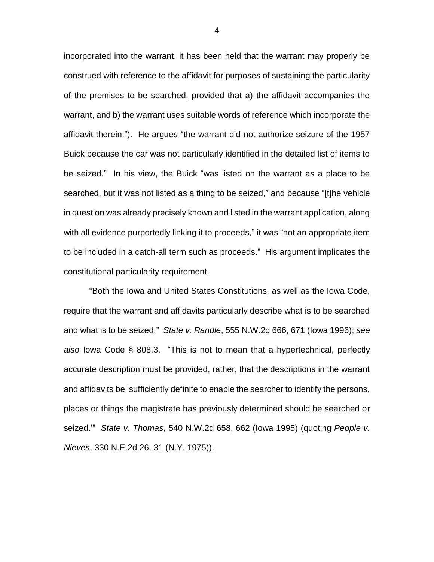incorporated into the warrant, it has been held that the warrant may properly be construed with reference to the affidavit for purposes of sustaining the particularity of the premises to be searched, provided that a) the affidavit accompanies the warrant, and b) the warrant uses suitable words of reference which incorporate the affidavit therein."). He argues "the warrant did not authorize seizure of the 1957 Buick because the car was not particularly identified in the detailed list of items to be seized." In his view, the Buick "was listed on the warrant as a place to be searched, but it was not listed as a thing to be seized," and because "[t]he vehicle in question was already precisely known and listed in the warrant application, along with all evidence purportedly linking it to proceeds," it was "not an appropriate item to be included in a catch-all term such as proceeds." His argument implicates the constitutional particularity requirement.

"Both the Iowa and United States Constitutions, as well as the Iowa Code, require that the warrant and affidavits particularly describe what is to be searched and what is to be seized." *State v. Randle*, 555 N.W.2d 666, 671 (Iowa 1996); *see also* Iowa Code § 808.3. "This is not to mean that a hypertechnical, perfectly accurate description must be provided, rather, that the descriptions in the warrant and affidavits be 'sufficiently definite to enable the searcher to identify the persons, places or things the magistrate has previously determined should be searched or seized.'" *State v. Thomas*, 540 N.W.2d 658, 662 (Iowa 1995) (quoting *People v. Nieves*, 330 N.E.2d 26, 31 (N.Y. 1975)).

4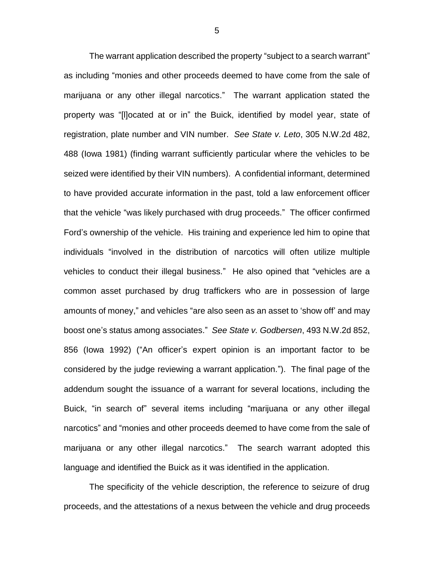The warrant application described the property "subject to a search warrant" as including "monies and other proceeds deemed to have come from the sale of marijuana or any other illegal narcotics." The warrant application stated the property was "[l]ocated at or in" the Buick, identified by model year, state of registration, plate number and VIN number. *See State v. Leto*, 305 N.W.2d 482, 488 (Iowa 1981) (finding warrant sufficiently particular where the vehicles to be seized were identified by their VIN numbers). A confidential informant, determined to have provided accurate information in the past, told a law enforcement officer that the vehicle "was likely purchased with drug proceeds." The officer confirmed Ford's ownership of the vehicle. His training and experience led him to opine that individuals "involved in the distribution of narcotics will often utilize multiple vehicles to conduct their illegal business." He also opined that "vehicles are a common asset purchased by drug traffickers who are in possession of large amounts of money," and vehicles "are also seen as an asset to 'show off' and may boost one's status among associates." *See State v. Godbersen*, 493 N.W.2d 852, 856 (Iowa 1992) ("An officer's expert opinion is an important factor to be considered by the judge reviewing a warrant application."). The final page of the addendum sought the issuance of a warrant for several locations, including the Buick, "in search of" several items including "marijuana or any other illegal narcotics" and "monies and other proceeds deemed to have come from the sale of marijuana or any other illegal narcotics." The search warrant adopted this language and identified the Buick as it was identified in the application.

The specificity of the vehicle description, the reference to seizure of drug proceeds, and the attestations of a nexus between the vehicle and drug proceeds